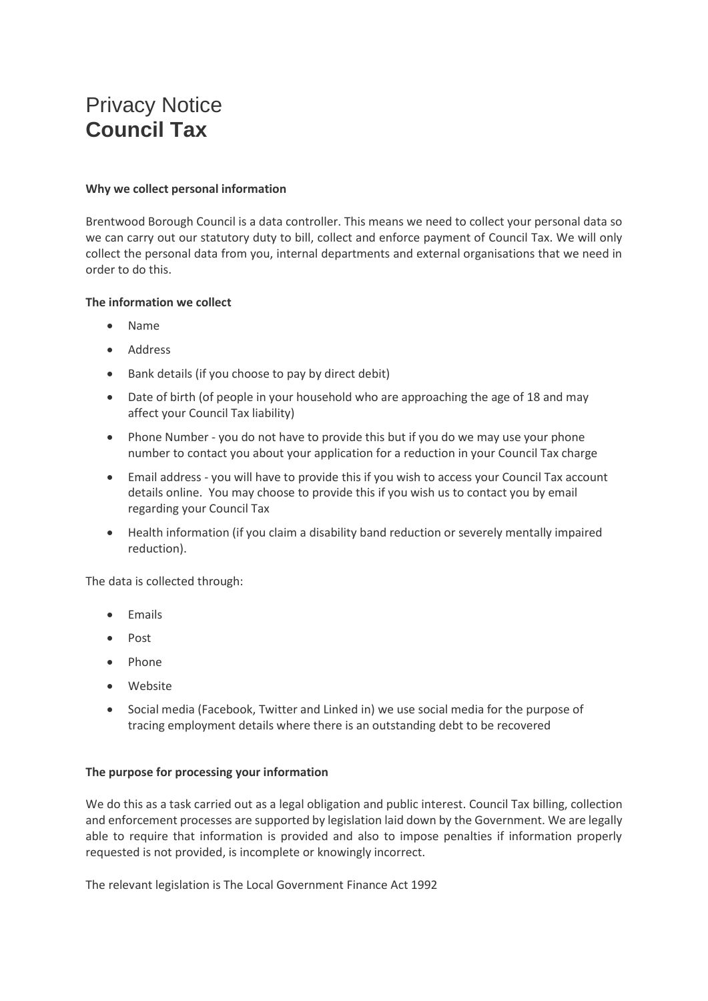# Privacy Notice **Council Tax**

# **Why we collect personal information**

Brentwood Borough Council is a data controller. This means we need to collect your personal data so we can carry out our statutory duty to bill, collect and enforce payment of Council Tax. We will only collect the personal data from you, internal departments and external organisations that we need in order to do this.

# **The information we collect**

- Name
- Address
- Bank details (if you choose to pay by direct debit)
- Date of birth (of people in your household who are approaching the age of 18 and may affect your Council Tax liability)
- Phone Number you do not have to provide this but if you do we may use your phone number to contact you about your application for a reduction in your Council Tax charge
- Email address you will have to provide this if you wish to access your Council Tax account details online. You may choose to provide this if you wish us to contact you by email regarding your Council Tax
- Health information (if you claim a disability band reduction or severely mentally impaired reduction).

The data is collected through:

- Emails
- Post
- Phone
- Website
- Social media (Facebook, Twitter and Linked in) we use social media for the purpose of tracing employment details where there is an outstanding debt to be recovered

# **The purpose for processing your information**

We do this as a task carried out as a legal obligation and public interest. Council Tax billing, collection and enforcement processes are supported by legislation laid down by the Government. We are legally able to require that information is provided and also to impose penalties if information properly requested is not provided, is incomplete or knowingly incorrect.

The relevant legislation is The Local Government Finance Act 1992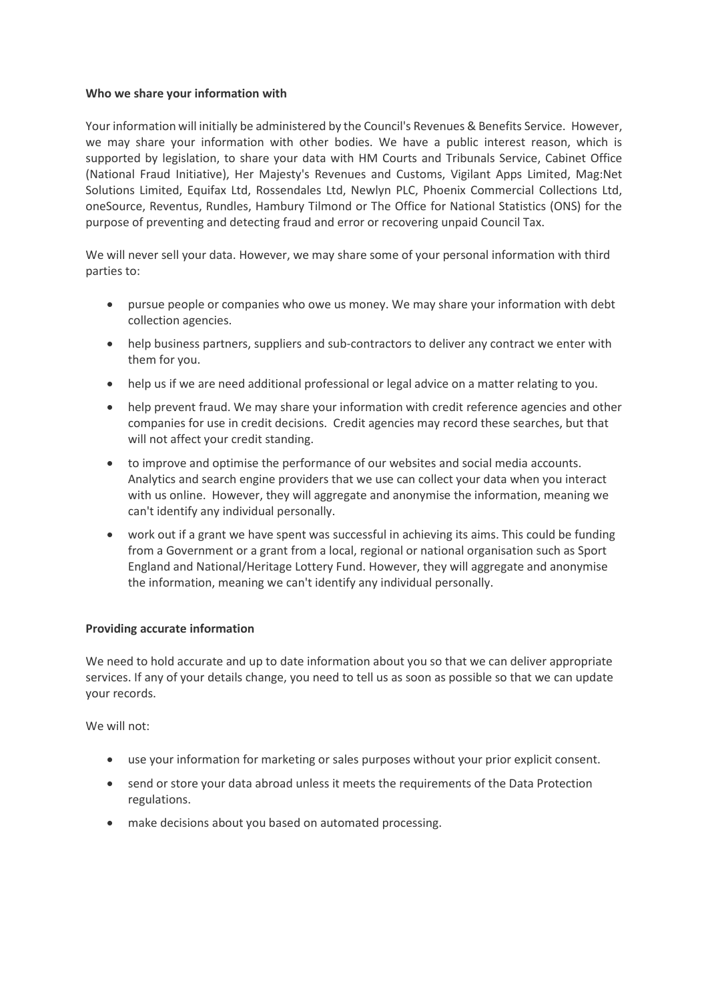## **Who we share your information with**

Your information will initially be administered by the Council's Revenues & Benefits Service. However, we may share your information with other bodies. We have a public interest reason, which is supported by legislation, to share your data with HM Courts and Tribunals Service, Cabinet Office (National Fraud Initiative), Her Majesty's Revenues and Customs, Vigilant Apps Limited, Mag:Net Solutions Limited, Equifax Ltd, Rossendales Ltd, Newlyn PLC, Phoenix Commercial Collections Ltd, oneSource, Reventus, Rundles, Hambury Tilmond or The Office for National Statistics (ONS) for the purpose of preventing and detecting fraud and error or recovering unpaid Council Tax.

We will never sell your data. However, we may share some of your personal information with third parties to:

- pursue people or companies who owe us money. We may share your information with debt collection agencies.
- help business partners, suppliers and sub-contractors to deliver any contract we enter with them for you.
- help us if we are need additional professional or legal advice on a matter relating to you.
- help prevent fraud. We may share your information with credit reference agencies and other companies for use in credit decisions. Credit agencies may record these searches, but that will not affect your credit standing.
- to improve and optimise the performance of our websites and social media accounts. Analytics and search engine providers that we use can collect your data when you interact with us online. However, they will aggregate and anonymise the information, meaning we can't identify any individual personally.
- work out if a grant we have spent was successful in achieving its aims. This could be funding from a Government or a grant from a local, regional or national organisation such as Sport England and National/Heritage Lottery Fund. However, they will aggregate and anonymise the information, meaning we can't identify any individual personally.

# **Providing accurate information**

We need to hold accurate and up to date information about you so that we can deliver appropriate services. If any of your details change, you need to tell us as soon as possible so that we can update your records.

We will not:

- use your information for marketing or sales purposes without your prior explicit consent.
- send or store your data abroad unless it meets the requirements of the Data Protection regulations.
- make decisions about you based on automated processing.